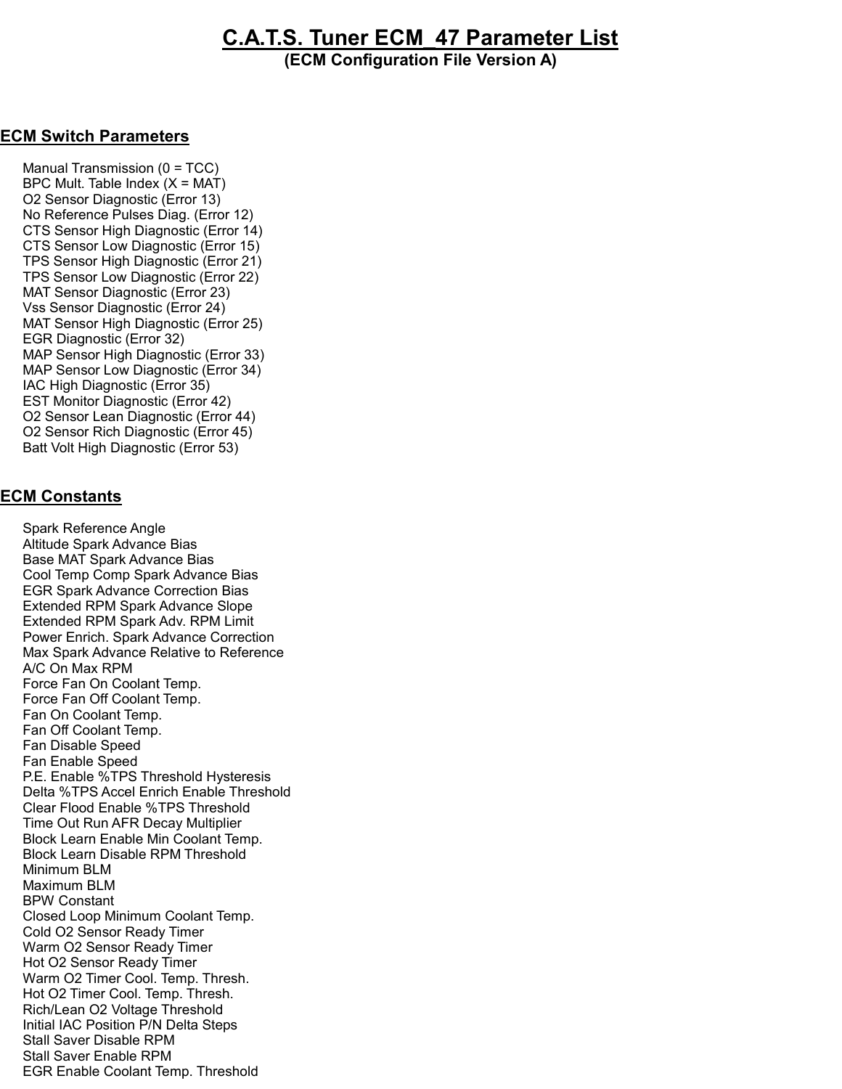## C.A.T.S. Tuner ECM\_47 Parameter List

(ECM Configuration File Version A)

## ECM Switch Parameters

 Manual Transmission (0 = TCC) BPC Mult. Table Index  $(X = MAT)$  O2 Sensor Diagnostic (Error 13) No Reference Pulses Diag. (Error 12) CTS Sensor High Diagnostic (Error 14) CTS Sensor Low Diagnostic (Error 15) TPS Sensor High Diagnostic (Error 21) TPS Sensor Low Diagnostic (Error 22) MAT Sensor Diagnostic (Error 23) Vss Sensor Diagnostic (Error 24) MAT Sensor High Diagnostic (Error 25) EGR Diagnostic (Error 32) MAP Sensor High Diagnostic (Error 33) MAP Sensor Low Diagnostic (Error 34) IAC High Diagnostic (Error 35) EST Monitor Diagnostic (Error 42) O2 Sensor Lean Diagnostic (Error 44) O2 Sensor Rich Diagnostic (Error 45) Batt Volt High Diagnostic (Error 53)

## ECM Constants

 Spark Reference Angle Altitude Spark Advance Bias Base MAT Spark Advance Bias Cool Temp Comp Spark Advance Bias EGR Spark Advance Correction Bias Extended RPM Spark Advance Slope Extended RPM Spark Adv. RPM Limit Power Enrich. Spark Advance Correction Max Spark Advance Relative to Reference A/C On Max RPM Force Fan On Coolant Temp. Force Fan Off Coolant Temp. Fan On Coolant Temp. Fan Off Coolant Temp. Fan Disable Speed Fan Enable Speed P.E. Enable %TPS Threshold Hysteresis Delta %TPS Accel Enrich Enable Threshold Clear Flood Enable %TPS Threshold Time Out Run AFR Decay Multiplier Block Learn Enable Min Coolant Temp. Block Learn Disable RPM Threshold Minimum BLM Maximum BLM BPW Constant Closed Loop Minimum Coolant Temp. Cold O2 Sensor Ready Timer Warm O2 Sensor Ready Timer Hot O2 Sensor Ready Timer Warm O2 Timer Cool. Temp. Thresh. Hot O2 Timer Cool. Temp. Thresh. Rich/Lean O2 Voltage Threshold Initial IAC Position P/N Delta Steps Stall Saver Disable RPM Stall Saver Enable RPM EGR Enable Coolant Temp. Threshold